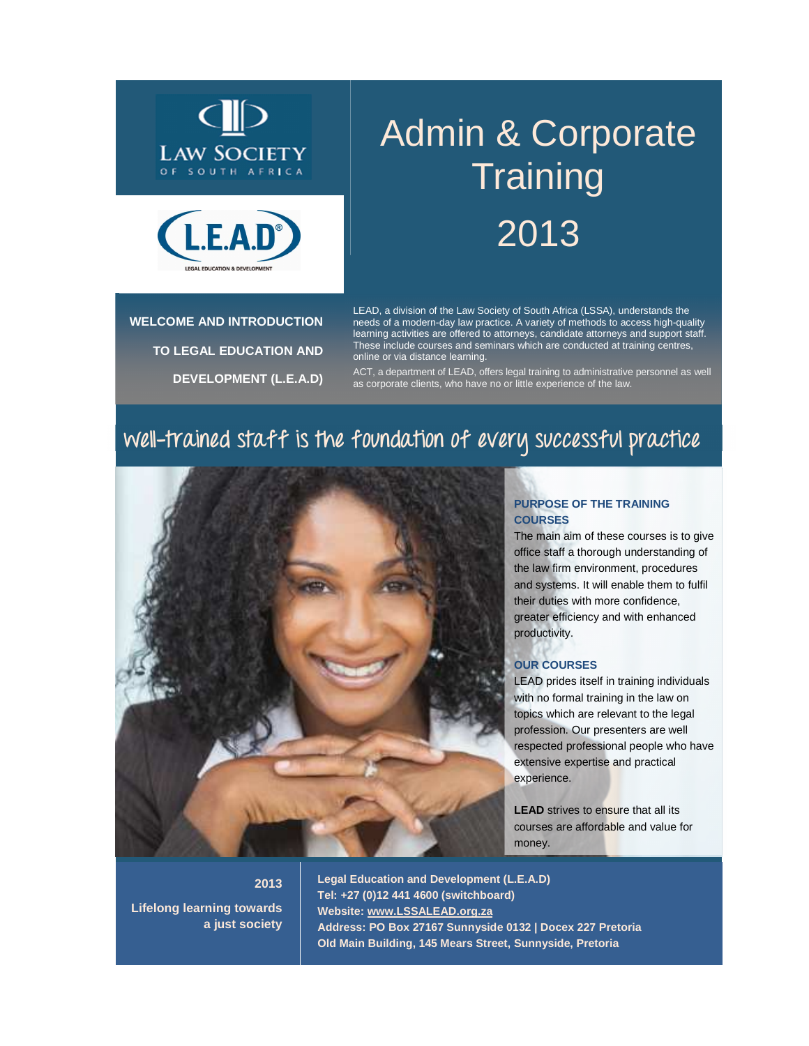



# **WELCOME AND INTRODUCTION TO LEGAL EDUCATION AND DEVELOPMENT (L.E.A.D)**

# Admin & Corporate **Training** 2013

LEAD, a division of the Law Society of South Africa (LSSA), understands the needs of a modern-day law practice. A variety of methods to access high-quality learning activities are offered to attorneys, candidate attorneys and support staff. These include courses and seminars which are conducted at training centres, online or via distance learning.

ACT, a department of LEAD, offers legal training to administrative personnel as well as corporate clients, who have no or little experience of the law.

# **well-trained staff is the foundation of every successful practice**



#### **PURPOSE OF THE TRAINING COURSES**

The main aim of these courses is to give office staff a thorough understanding of the law firm environment, procedures and systems. It will enable them to fulfil their duties with more confidence, greater efficiency and with enhanced productivity.

#### **OUR COURSES**

LEAD prides itself in training individuals with no formal training in the law on topics which are relevant to the legal profession. Our presenters are well respected professional people who have extensive expertise and practical experience.

**LEAD** strives to ensure that all its courses are affordable and value for money.

#### **2013**

**Lifelong learning towards a just society** 

**Legal Education and Development (L.E.A.D) Tel: +27 (0)12 441 4600 (switchboard) Website: www.LSSALEAD.org.za Address: PO Box 27167 Sunnyside 0132 | Docex 227 Pretoria Old Main Building, 145 Mears Street, Sunnyside, Pretoria**